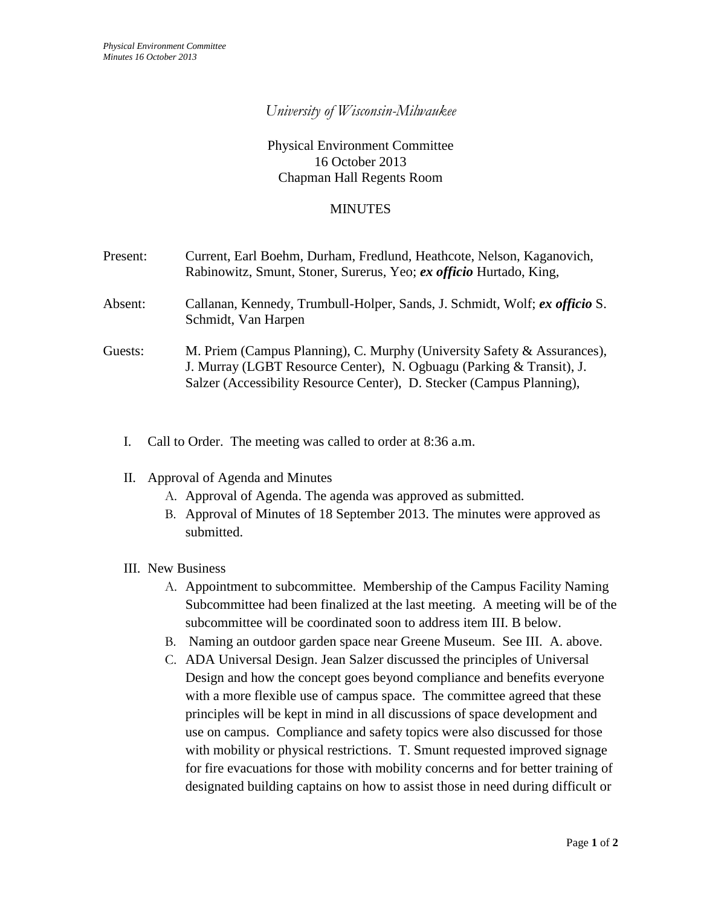## *University of Wisconsin-Milwaukee*

## Physical Environment Committee 16 October 2013 Chapman Hall Regents Room

## MINUTES

| Present: | Current, Earl Boehm, Durham, Fredlund, Heathcote, Nelson, Kaganovich,<br>Rabinowitz, Smunt, Stoner, Surerus, Yeo; ex officio Hurtado, King,                                                                              |
|----------|--------------------------------------------------------------------------------------------------------------------------------------------------------------------------------------------------------------------------|
| Absent:  | Callanan, Kennedy, Trumbull-Holper, Sands, J. Schmidt, Wolf; ex officio S.<br>Schmidt, Van Harpen                                                                                                                        |
| Guests:  | M. Priem (Campus Planning), C. Murphy (University Safety & Assurances),<br>J. Murray (LGBT Resource Center), N. Ogbuagu (Parking & Transit), J.<br>Salzer (Accessibility Resource Center), D. Stecker (Campus Planning), |

- I. Call to Order. The meeting was called to order at 8:36 a.m.
- II. Approval of Agenda and Minutes
	- A. Approval of Agenda. The agenda was approved as submitted.
	- B. Approval of Minutes of 18 September 2013. The minutes were approved as submitted.

## III. New Business

- A. Appointment to subcommittee. Membership of the Campus Facility Naming Subcommittee had been finalized at the last meeting. A meeting will be of the subcommittee will be coordinated soon to address item III. B below.
- B. Naming an outdoor garden space near Greene Museum. See III. A. above.
- C. ADA Universal Design. Jean Salzer discussed the principles of Universal Design and how the concept goes beyond compliance and benefits everyone with a more flexible use of campus space. The committee agreed that these principles will be kept in mind in all discussions of space development and use on campus. Compliance and safety topics were also discussed for those with mobility or physical restrictions. T. Smunt requested improved signage for fire evacuations for those with mobility concerns and for better training of designated building captains on how to assist those in need during difficult or